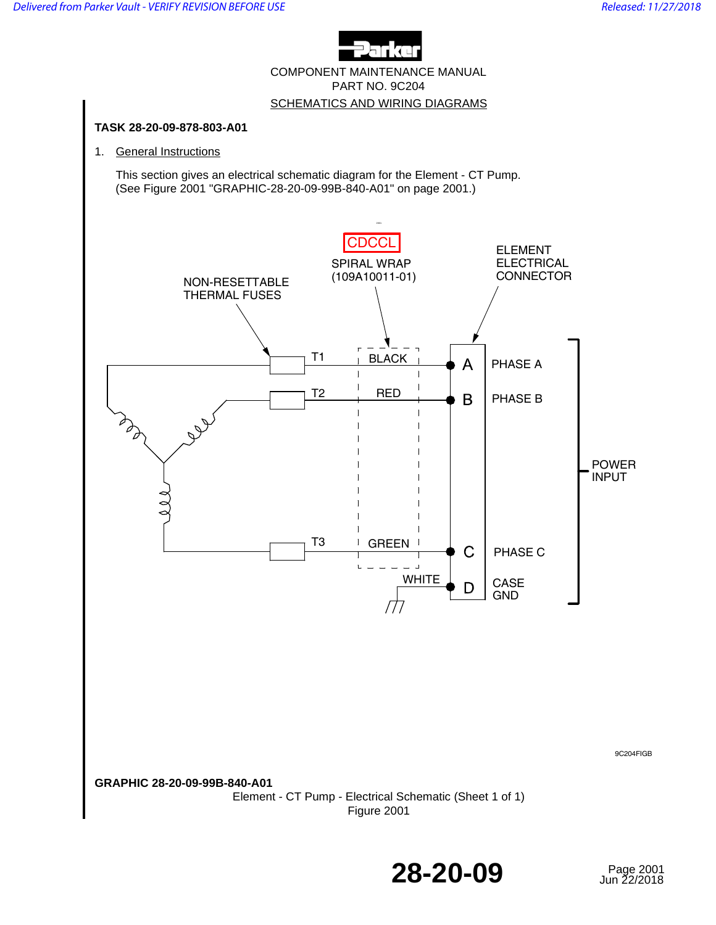

COMPONENT MAINTENANCE MANUAL PART NO. 9C204 SCHEMATICS AND WIRING DIAGRAMS



**28-20-09** 

Page 2001<br>Jun 22/2018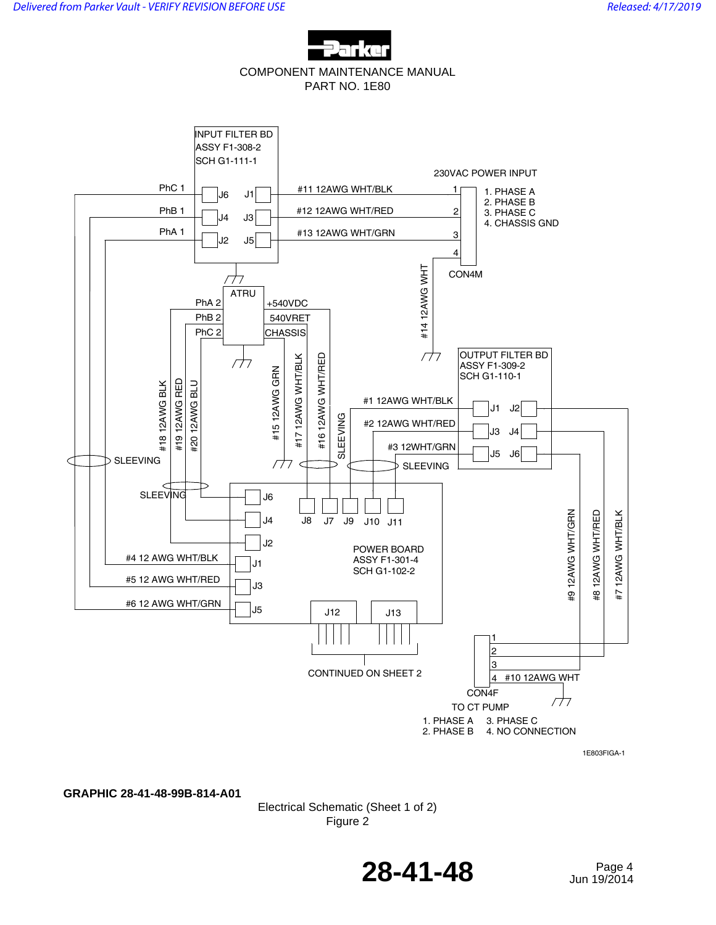

COMPONENT MAINTENANCE MANUAL PART NO. 1E80



1E803FIGA-1

**GRAPHIC 28-41-48-99B-814-A01**

Electrical Schematic (Sheet 1 of 2) Figure 2

**28-41-48** Page 4

Jun 19/2014